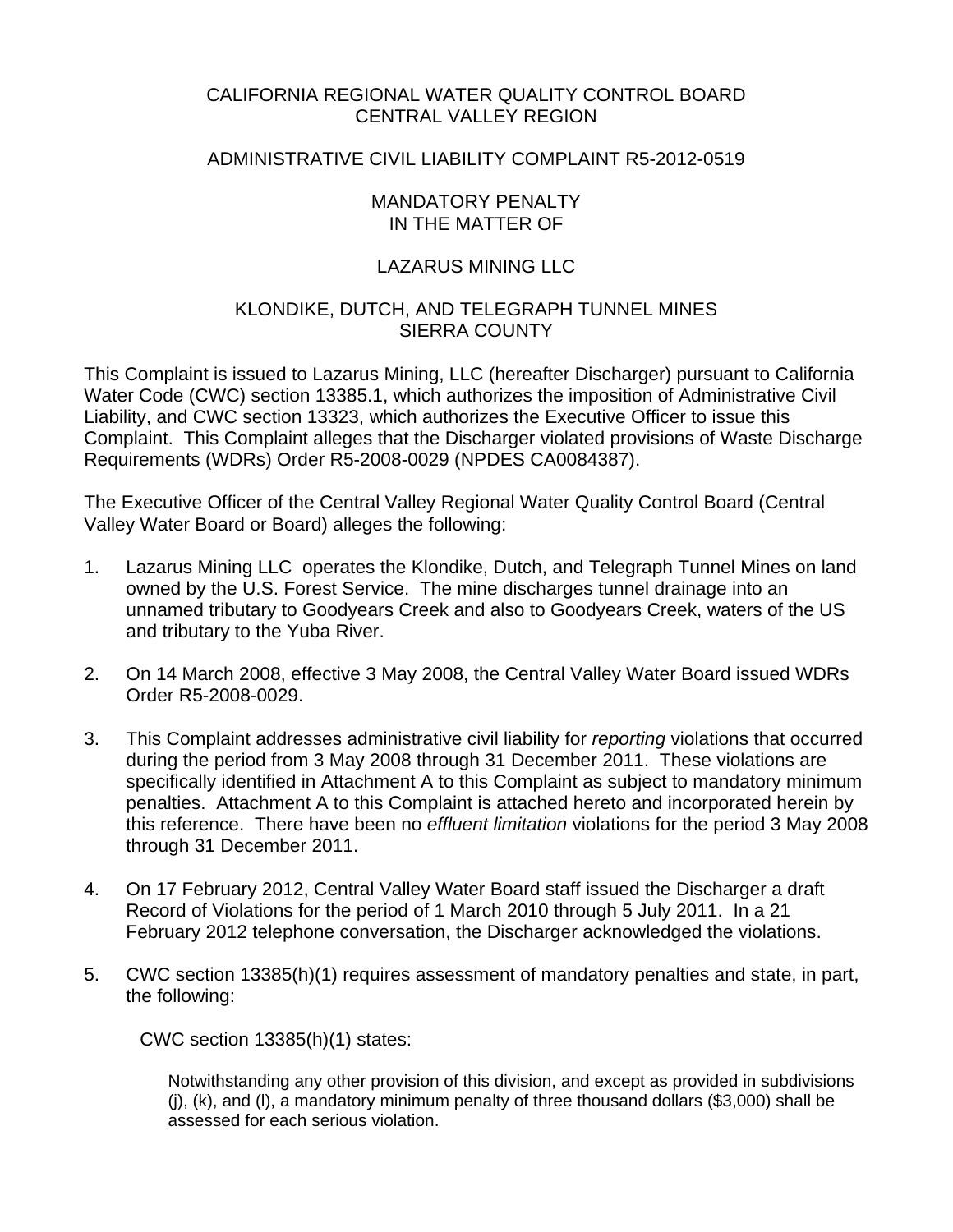## CALIFORNIA REGIONAL WATER QUALITY CONTROL BOARD CENTRAL VALLEY REGION

## ADMINISTRATIVE CIVIL LIABILITY COMPLAINT R5-2012-0519

#### MANDATORY PENALTY IN THE MATTER OF

## LAZARUS MINING LLC

#### KLONDIKE, DUTCH, AND TELEGRAPH TUNNEL MINES SIERRA COUNTY

This Complaint is issued to Lazarus Mining, LLC (hereafter Discharger) pursuant to California Water Code (CWC) section 13385.1, which authorizes the imposition of Administrative Civil Liability, and CWC section 13323, which authorizes the Executive Officer to issue this Complaint. This Complaint alleges that the Discharger violated provisions of Waste Discharge Requirements (WDRs) Order R5-2008-0029 (NPDES CA0084387).

The Executive Officer of the Central Valley Regional Water Quality Control Board (Central Valley Water Board or Board) alleges the following:

- 1. Lazarus Mining LLC operates the Klondike, Dutch, and Telegraph Tunnel Mines on land owned by the U.S. Forest Service. The mine discharges tunnel drainage into an unnamed tributary to Goodyears Creek and also to Goodyears Creek, waters of the US and tributary to the Yuba River.
- 2. On 14 March 2008, effective 3 May 2008, the Central Valley Water Board issued WDRs Order R5-2008-0029.
- 3. This Complaint addresses administrative civil liability for *reporting* violations that occurred during the period from 3 May 2008 through 31 December 2011. These violations are specifically identified in Attachment A to this Complaint as subject to mandatory minimum penalties. Attachment A to this Complaint is attached hereto and incorporated herein by this reference. There have been no *effluent limitation* violations for the period 3 May 2008 through 31 December 2011.
- 4. On 17 February 2012, Central Valley Water Board staff issued the Discharger a draft Record of Violations for the period of 1 March 2010 through 5 July 2011. In a 21 February 2012 telephone conversation, the Discharger acknowledged the violations.
- 5. CWC section 13385(h)(1) requires assessment of mandatory penalties and state, in part, the following:

CWC section 13385(h)(1) states:

Notwithstanding any other provision of this division, and except as provided in subdivisions (j), (k), and (l), a mandatory minimum penalty of three thousand dollars (\$3,000) shall be assessed for each serious violation.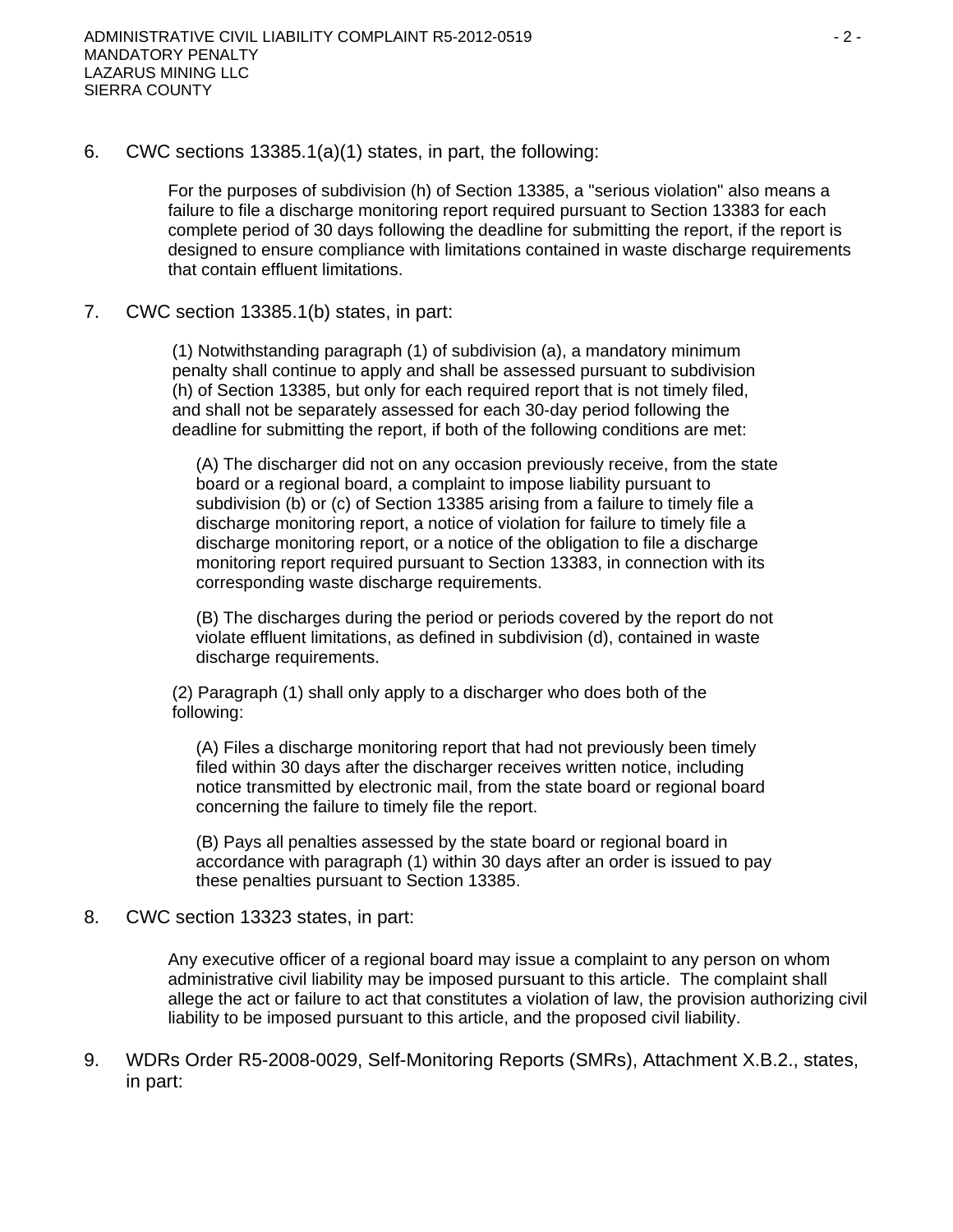6. CWC sections 13385.1(a)(1) states, in part, the following:

For the purposes of subdivision (h) of Section 13385, a "serious violation" also means a failure to file a discharge monitoring report required pursuant to Section 13383 for each complete period of 30 days following the deadline for submitting the report, if the report is designed to ensure compliance with limitations contained in waste discharge requirements that contain effluent limitations.

7. CWC section 13385.1(b) states, in part:

(1) Notwithstanding paragraph (1) of subdivision (a), a mandatory minimum penalty shall continue to apply and shall be assessed pursuant to subdivision (h) of Section 13385, but only for each required report that is not timely filed, and shall not be separately assessed for each 30-day period following the deadline for submitting the report, if both of the following conditions are met:

(A) The discharger did not on any occasion previously receive, from the state board or a regional board, a complaint to impose liability pursuant to subdivision (b) or (c) of Section 13385 arising from a failure to timely file a discharge monitoring report, a notice of violation for failure to timely file a discharge monitoring report, or a notice of the obligation to file a discharge monitoring report required pursuant to Section 13383, in connection with its corresponding waste discharge requirements.

(B) The discharges during the period or periods covered by the report do not violate effluent limitations, as defined in subdivision (d), contained in waste discharge requirements.

(2) Paragraph (1) shall only apply to a discharger who does both of the following:

(A) Files a discharge monitoring report that had not previously been timely filed within 30 days after the discharger receives written notice, including notice transmitted by electronic mail, from the state board or regional board concerning the failure to timely file the report.

(B) Pays all penalties assessed by the state board or regional board in accordance with paragraph (1) within 30 days after an order is issued to pay these penalties pursuant to Section 13385.

8. CWC section 13323 states, in part:

Any executive officer of a regional board may issue a complaint to any person on whom administrative civil liability may be imposed pursuant to this article. The complaint shall allege the act or failure to act that constitutes a violation of law, the provision authorizing civil liability to be imposed pursuant to this article, and the proposed civil liability.

9. WDRs Order R5-2008-0029, Self-Monitoring Reports (SMRs), Attachment X.B.2., states, in part: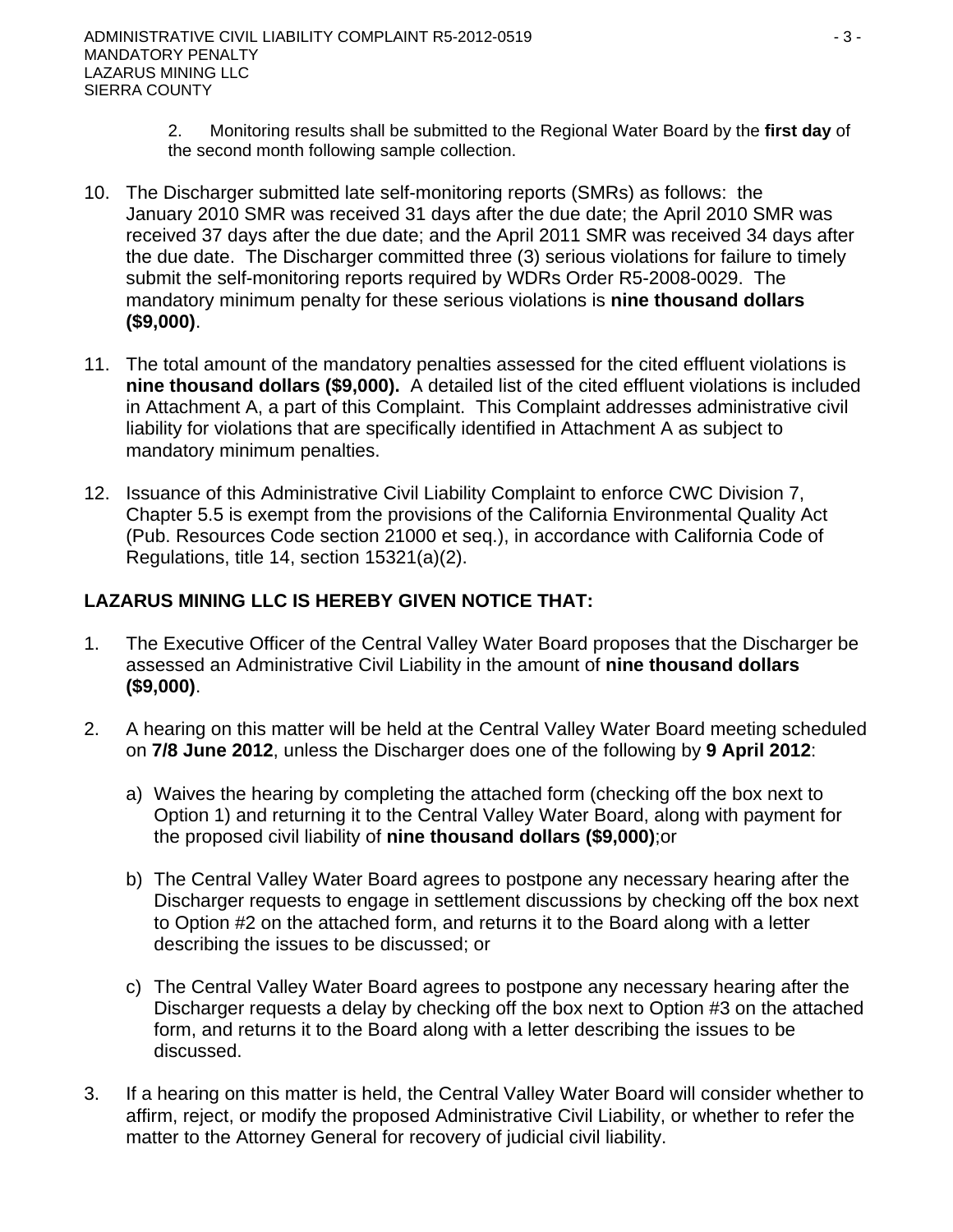- 2. Monitoring results shall be submitted to the Regional Water Board by the **first day** of the second month following sample collection.
- 10. The Discharger submitted late self-monitoring reports (SMRs) as follows: the January 2010 SMR was received 31 days after the due date; the April 2010 SMR was received 37 days after the due date; and the April 2011 SMR was received 34 days after the due date. The Discharger committed three (3) serious violations for failure to timely submit the self-monitoring reports required by WDRs Order R5-2008-0029. The mandatory minimum penalty for these serious violations is **nine thousand dollars (\$9,000)**.
- 11. The total amount of the mandatory penalties assessed for the cited effluent violations is **nine thousand dollars (\$9,000).** A detailed list of the cited effluent violations is included in Attachment A, a part of this Complaint. This Complaint addresses administrative civil liability for violations that are specifically identified in Attachment A as subject to mandatory minimum penalties.
- 12. Issuance of this Administrative Civil Liability Complaint to enforce CWC Division 7, Chapter 5.5 is exempt from the provisions of the California Environmental Quality Act (Pub. Resources Code section 21000 et seq.), in accordance with California Code of Regulations, title 14, section 15321(a)(2).

# **LAZARUS MINING LLC IS HEREBY GIVEN NOTICE THAT:**

- 1. The Executive Officer of the Central Valley Water Board proposes that the Discharger be assessed an Administrative Civil Liability in the amount of **nine thousand dollars (\$9,000)**.
- 2. A hearing on this matter will be held at the Central Valley Water Board meeting scheduled on **7/8 June 2012**, unless the Discharger does one of the following by **9 April 2012**:
	- a) Waives the hearing by completing the attached form (checking off the box next to Option 1) and returning it to the Central Valley Water Board, along with payment for the proposed civil liability of **nine thousand dollars (\$9,000)**;or
	- b) The Central Valley Water Board agrees to postpone any necessary hearing after the Discharger requests to engage in settlement discussions by checking off the box next to Option #2 on the attached form, and returns it to the Board along with a letter describing the issues to be discussed; or
	- c) The Central Valley Water Board agrees to postpone any necessary hearing after the Discharger requests a delay by checking off the box next to Option #3 on the attached form, and returns it to the Board along with a letter describing the issues to be discussed.
- 3. If a hearing on this matter is held, the Central Valley Water Board will consider whether to affirm, reject, or modify the proposed Administrative Civil Liability, or whether to refer the matter to the Attorney General for recovery of judicial civil liability.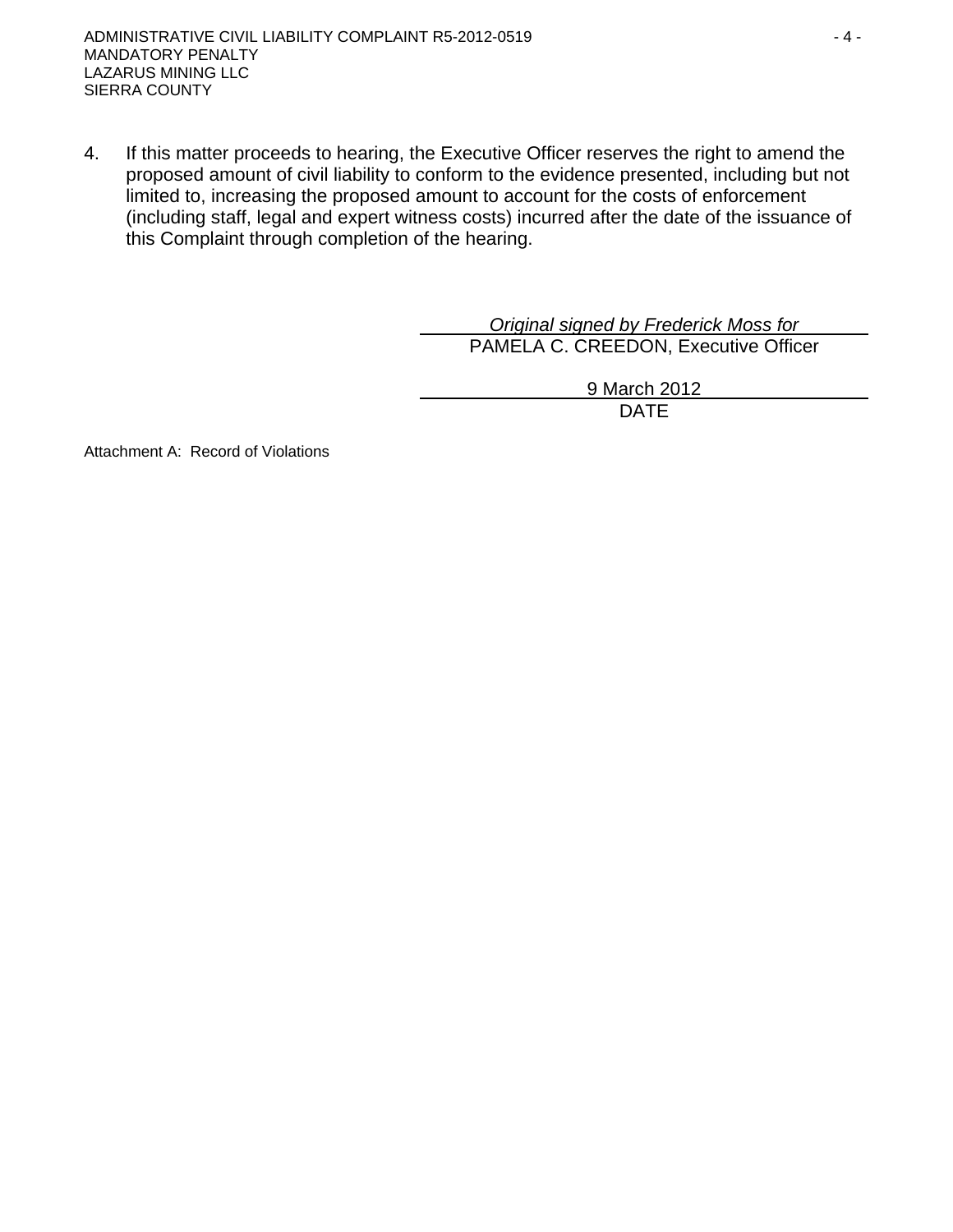4. If this matter proceeds to hearing, the Executive Officer reserves the right to amend the proposed amount of civil liability to conform to the evidence presented, including but not limited to, increasing the proposed amount to account for the costs of enforcement (including staff, legal and expert witness costs) incurred after the date of the issuance of this Complaint through completion of the hearing.

> *Original signed by Frederick Moss for*  PAMELA C. CREEDON, Executive Officer

> > 9 March 2012 DATE

Attachment A: Record of Violations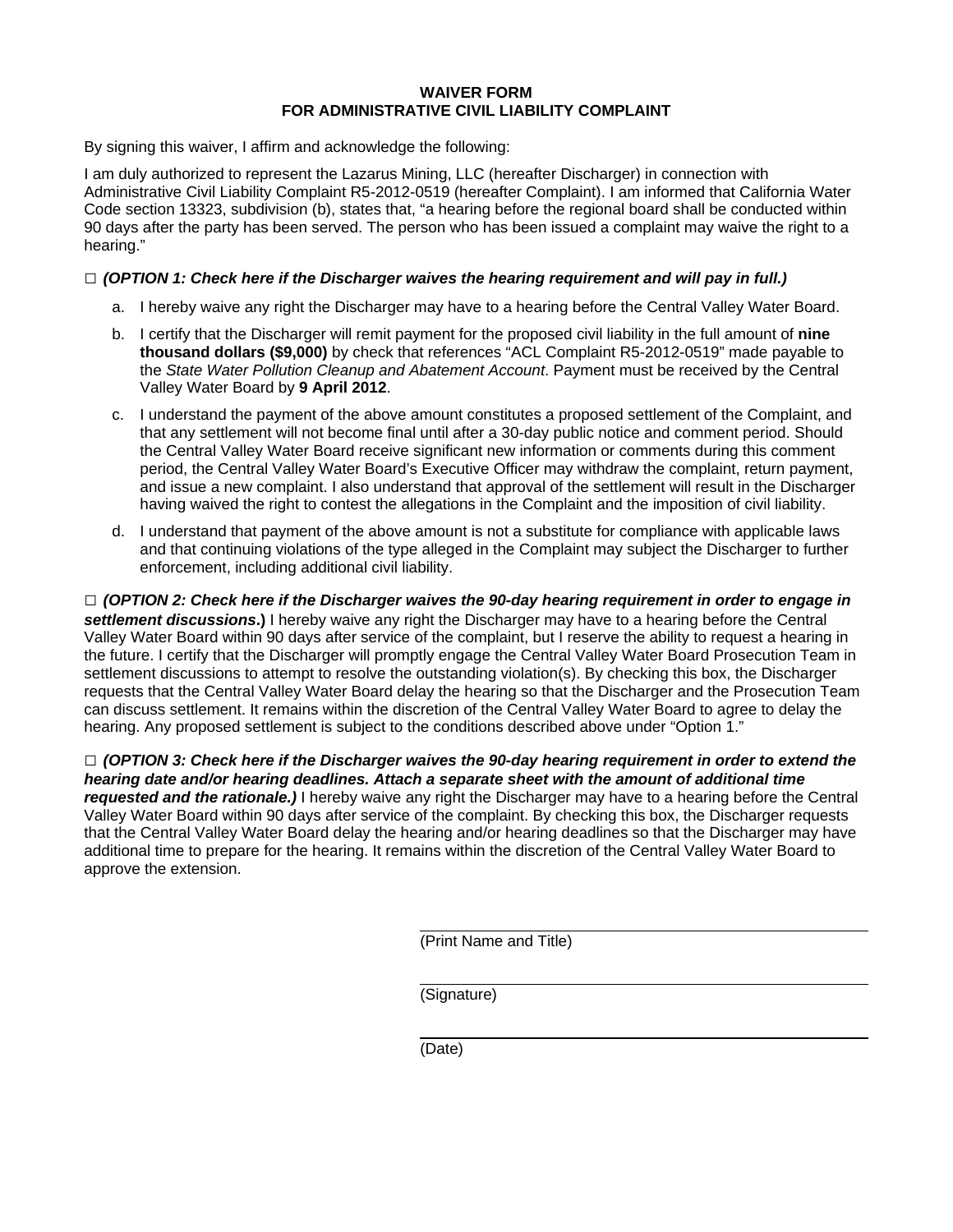#### **WAIVER FORM FOR ADMINISTRATIVE CIVIL LIABILITY COMPLAINT**

By signing this waiver, I affirm and acknowledge the following:

I am duly authorized to represent the Lazarus Mining, LLC (hereafter Discharger) in connection with Administrative Civil Liability Complaint R5-2012-0519 (hereafter Complaint). I am informed that California Water Code section 13323, subdivision (b), states that, "a hearing before the regional board shall be conducted within 90 days after the party has been served. The person who has been issued a complaint may waive the right to a hearing."

#### **□** *(OPTION 1: Check here if the Discharger waives the hearing requirement and will pay in full.)*

- a. I hereby waive any right the Discharger may have to a hearing before the Central Valley Water Board.
- b. I certify that the Discharger will remit payment for the proposed civil liability in the full amount of **nine thousand dollars (\$9,000)** by check that references "ACL Complaint R5-2012-0519" made payable to the *State Water Pollution Cleanup and Abatement Account*. Payment must be received by the Central Valley Water Board by **9 April 2012**.
- c. I understand the payment of the above amount constitutes a proposed settlement of the Complaint, and that any settlement will not become final until after a 30-day public notice and comment period. Should the Central Valley Water Board receive significant new information or comments during this comment period, the Central Valley Water Board's Executive Officer may withdraw the complaint, return payment, and issue a new complaint. I also understand that approval of the settlement will result in the Discharger having waived the right to contest the allegations in the Complaint and the imposition of civil liability.
- d. I understand that payment of the above amount is not a substitute for compliance with applicable laws and that continuing violations of the type alleged in the Complaint may subject the Discharger to further enforcement, including additional civil liability.

**□** *(OPTION 2: Check here if the Discharger waives the 90-day hearing requirement in order to engage in settlement discussions***.)** I hereby waive any right the Discharger may have to a hearing before the Central Valley Water Board within 90 days after service of the complaint, but I reserve the ability to request a hearing in the future. I certify that the Discharger will promptly engage the Central Valley Water Board Prosecution Team in settlement discussions to attempt to resolve the outstanding violation(s). By checking this box, the Discharger requests that the Central Valley Water Board delay the hearing so that the Discharger and the Prosecution Team can discuss settlement. It remains within the discretion of the Central Valley Water Board to agree to delay the hearing. Any proposed settlement is subject to the conditions described above under "Option 1."

**□** *(OPTION 3: Check here if the Discharger waives the 90-day hearing requirement in order to extend the hearing date and/or hearing deadlines. Attach a separate sheet with the amount of additional time requested and the rationale.)* I hereby waive any right the Discharger may have to a hearing before the Central Valley Water Board within 90 days after service of the complaint. By checking this box, the Discharger requests that the Central Valley Water Board delay the hearing and/or hearing deadlines so that the Discharger may have additional time to prepare for the hearing. It remains within the discretion of the Central Valley Water Board to approve the extension.

(Print Name and Title)

(Signature)

(Date)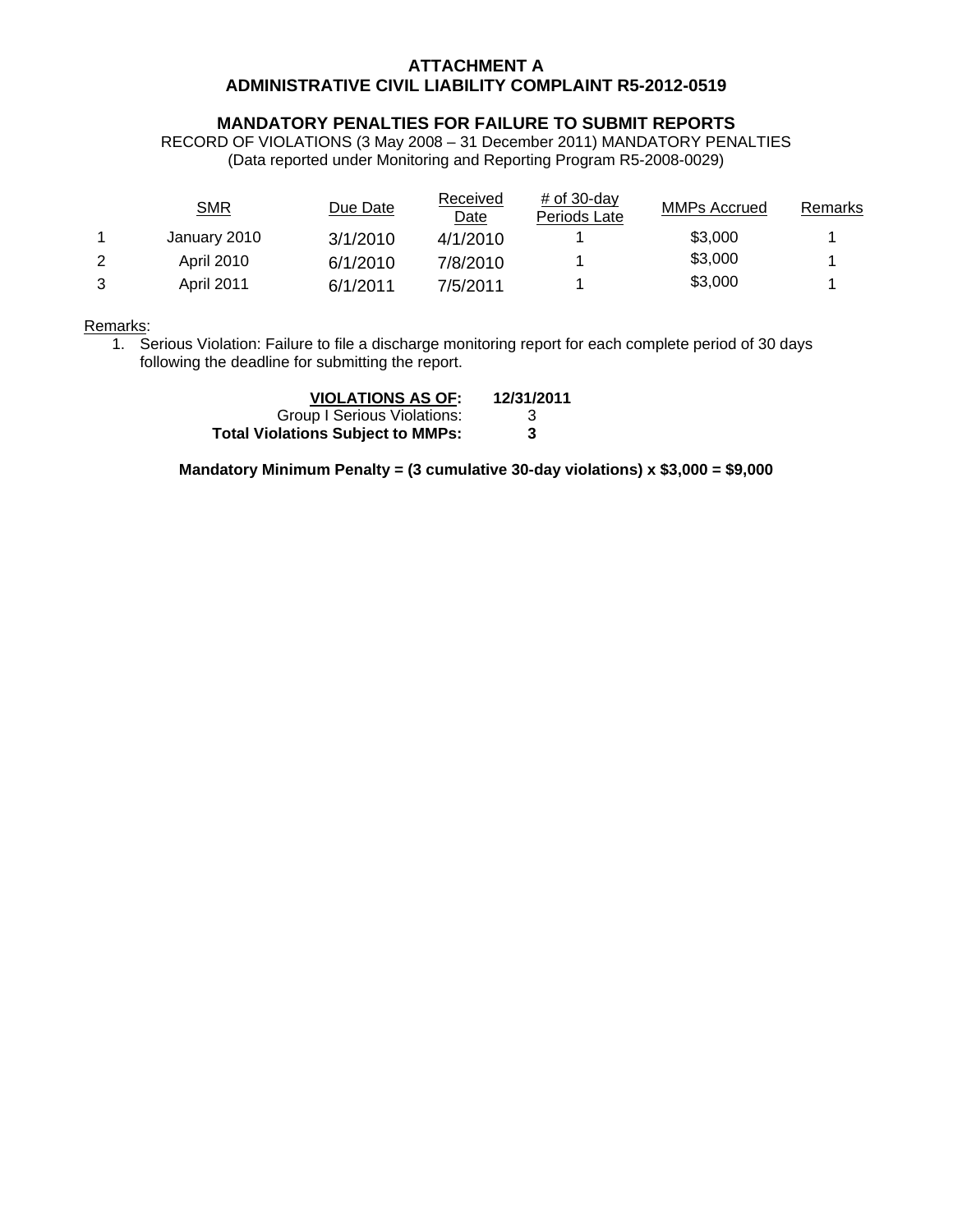#### **ATTACHMENT A ADMINISTRATIVE CIVIL LIABILITY COMPLAINT R5-2012-0519**

#### **MANDATORY PENALTIES FOR FAILURE TO SUBMIT REPORTS**

RECORD OF VIOLATIONS (3 May 2008 – 31 December 2011) MANDATORY PENALTIES (Data reported under Monitoring and Reporting Program R5-2008-0029)

|   | <u>SMR</u>        | Due Date | Received<br>Date | $#$ of 30-day<br>Periods Late | MMPs Accrued | Remarks |
|---|-------------------|----------|------------------|-------------------------------|--------------|---------|
|   | January 2010      | 3/1/2010 | 4/1/2010         |                               | \$3,000      |         |
| 2 | <b>April 2010</b> | 6/1/2010 | 7/8/2010         |                               | \$3,000      |         |
| 3 | <b>April 2011</b> | 6/1/2011 | 7/5/2011         |                               | \$3,000      |         |

Remarks:

1. Serious Violation: Failure to file a discharge monitoring report for each complete period of 30 days following the deadline for submitting the report.

| <b>VIOLATIONS AS OF:</b>                 | 12/31/2011 |
|------------------------------------------|------------|
| Group I Serious Violations:              | -3         |
| <b>Total Violations Subject to MMPs:</b> | 3          |

**Mandatory Minimum Penalty = (3 cumulative 30-day violations) x \$3,000 = \$9,000**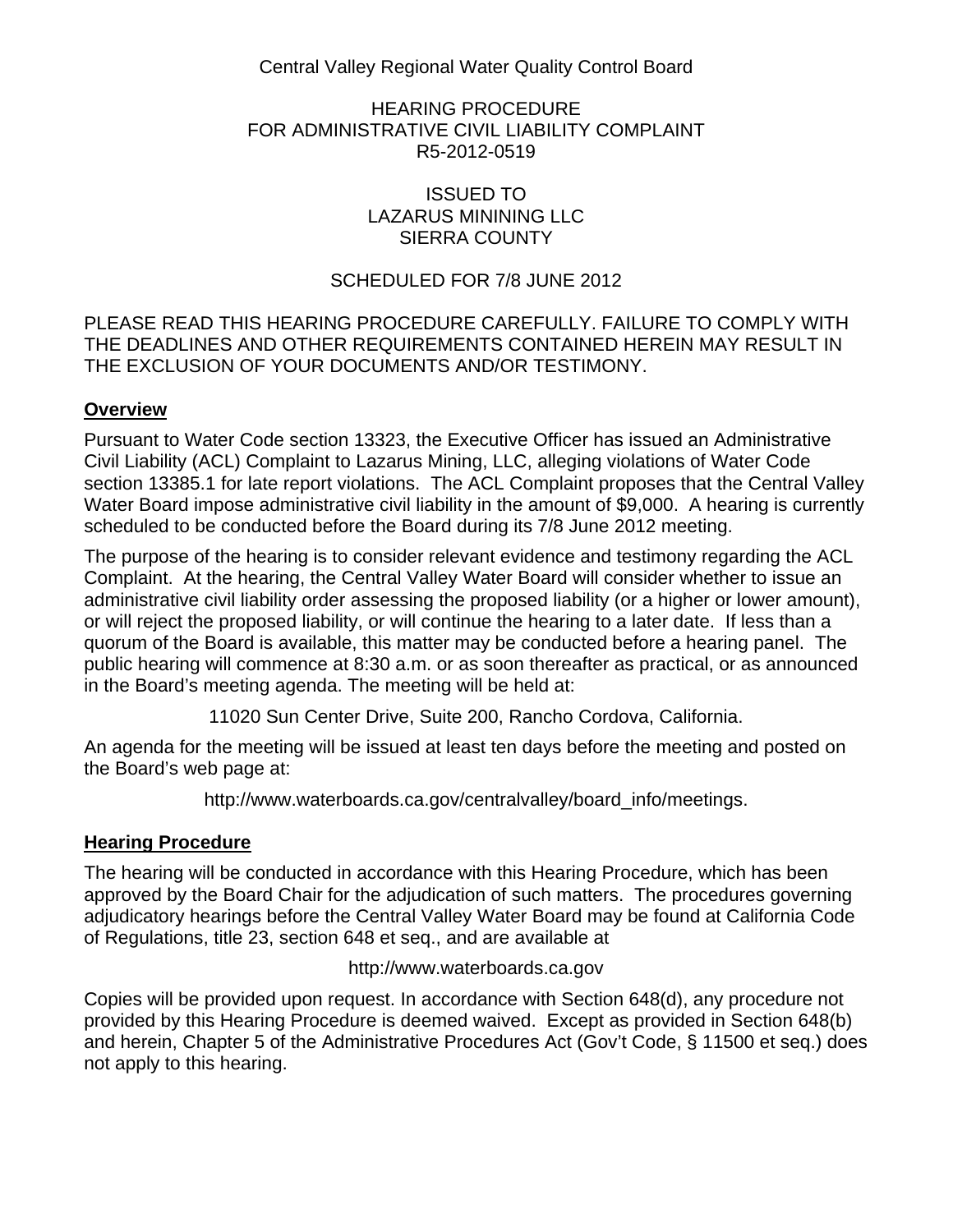Central Valley Regional Water Quality Control Board

HEARING PROCEDURE FOR ADMINISTRATIVE CIVIL LIABILITY COMPLAINT R5-2012-0519

## ISSUED TO LAZARUS MININING LLC SIERRA COUNTY

## SCHEDULED FOR 7/8 JUNE 2012

## PLEASE READ THIS HEARING PROCEDURE CAREFULLY. FAILURE TO COMPLY WITH THE DEADLINES AND OTHER REQUIREMENTS CONTAINED HEREIN MAY RESULT IN THE EXCLUSION OF YOUR DOCUMENTS AND/OR TESTIMONY.

## **Overview**

Pursuant to Water Code section 13323, the Executive Officer has issued an Administrative Civil Liability (ACL) Complaint to Lazarus Mining, LLC, alleging violations of Water Code section 13385.1 for late report violations. The ACL Complaint proposes that the Central Valley Water Board impose administrative civil liability in the amount of \$9,000. A hearing is currently scheduled to be conducted before the Board during its 7/8 June 2012 meeting.

The purpose of the hearing is to consider relevant evidence and testimony regarding the ACL Complaint. At the hearing, the Central Valley Water Board will consider whether to issue an administrative civil liability order assessing the proposed liability (or a higher or lower amount), or will reject the proposed liability, or will continue the hearing to a later date. If less than a quorum of the Board is available, this matter may be conducted before a hearing panel. The public hearing will commence at 8:30 a.m. or as soon thereafter as practical, or as announced in the Board's meeting agenda. The meeting will be held at:

11020 Sun Center Drive, Suite 200, Rancho Cordova, California.

An agenda for the meeting will be issued at least ten days before the meeting and posted on the Board's web page at:

http://www.waterboards.ca.gov/centralvalley/board\_info/meetings.

## **Hearing Procedure**

The hearing will be conducted in accordance with this Hearing Procedure, which has been approved by the Board Chair for the adjudication of such matters. The procedures governing adjudicatory hearings before the Central Valley Water Board may be found at California Code of Regulations, title 23, section 648 et seq., and are available at

## http://www.waterboards.ca.gov

Copies will be provided upon request. In accordance with Section 648(d), any procedure not provided by this Hearing Procedure is deemed waived. Except as provided in Section 648(b) and herein, Chapter 5 of the Administrative Procedures Act (Gov't Code, § 11500 et seq.) does not apply to this hearing.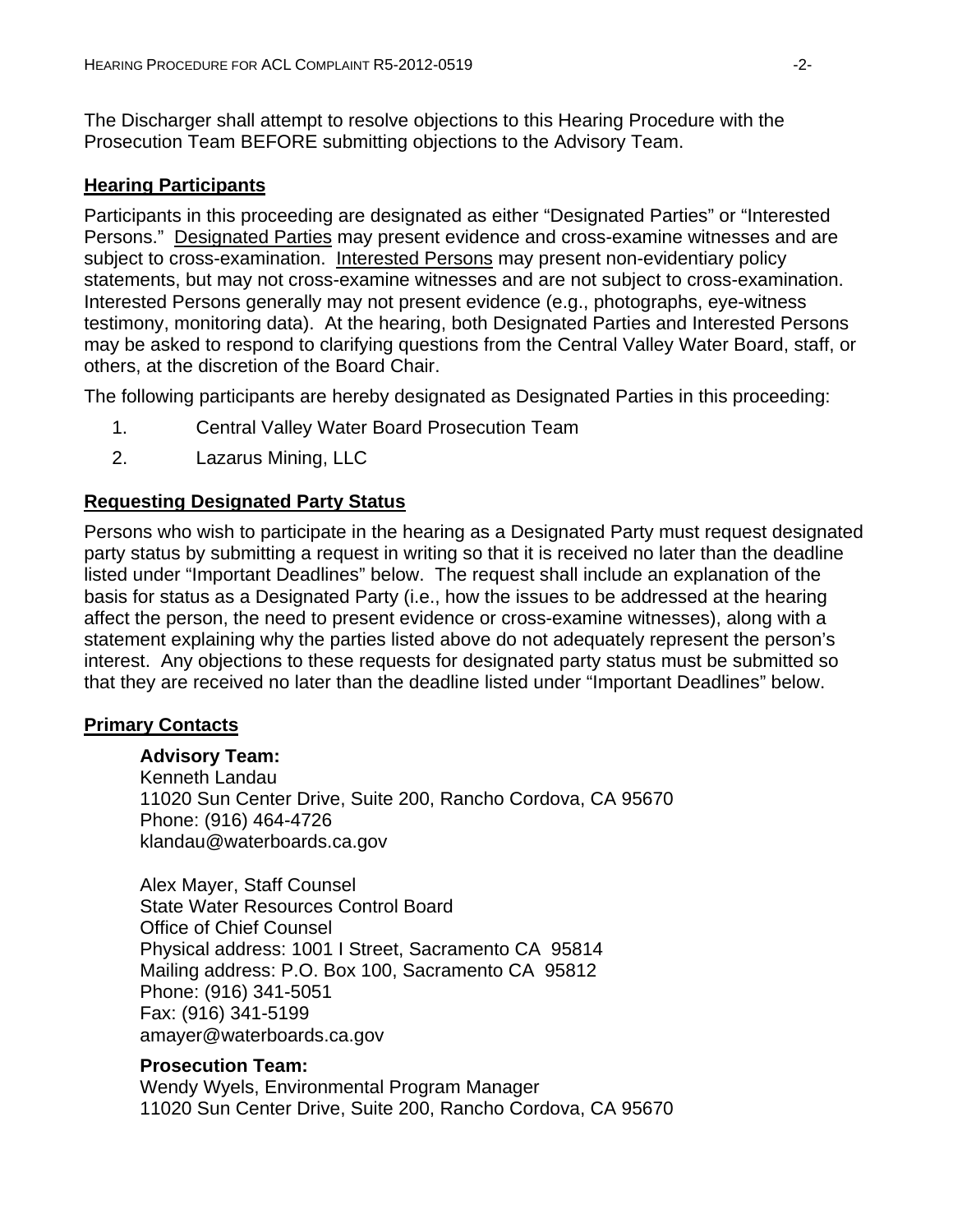The Discharger shall attempt to resolve objections to this Hearing Procedure with the Prosecution Team BEFORE submitting objections to the Advisory Team.

## **Hearing Participants**

Participants in this proceeding are designated as either "Designated Parties" or "Interested Persons." Designated Parties may present evidence and cross-examine witnesses and are subject to cross-examination. Interested Persons may present non-evidentiary policy statements, but may not cross-examine witnesses and are not subject to cross-examination. Interested Persons generally may not present evidence (e.g., photographs, eye-witness testimony, monitoring data). At the hearing, both Designated Parties and Interested Persons may be asked to respond to clarifying questions from the Central Valley Water Board, staff, or others, at the discretion of the Board Chair.

The following participants are hereby designated as Designated Parties in this proceeding:

- 1. Central Valley Water Board Prosecution Team
- 2. Lazarus Mining, LLC

## **Requesting Designated Party Status**

Persons who wish to participate in the hearing as a Designated Party must request designated party status by submitting a request in writing so that it is received no later than the deadline listed under "Important Deadlines" below. The request shall include an explanation of the basis for status as a Designated Party (i.e., how the issues to be addressed at the hearing affect the person, the need to present evidence or cross-examine witnesses), along with a statement explaining why the parties listed above do not adequately represent the person's interest. Any objections to these requests for designated party status must be submitted so that they are received no later than the deadline listed under "Important Deadlines" below.

## **Primary Contacts**

## **Advisory Team:**

Kenneth Landau 11020 Sun Center Drive, Suite 200, Rancho Cordova, CA 95670 Phone: (916) 464-4726 klandau@waterboards.ca.gov

Alex Mayer, Staff Counsel State Water Resources Control Board Office of Chief Counsel Physical address: 1001 I Street, Sacramento CA 95814 Mailing address: P.O. Box 100, Sacramento CA 95812 Phone: (916) 341-5051 Fax: (916) 341-5199 amayer@waterboards.ca.gov

## **Prosecution Team:**

Wendy Wyels, Environmental Program Manager 11020 Sun Center Drive, Suite 200, Rancho Cordova, CA 95670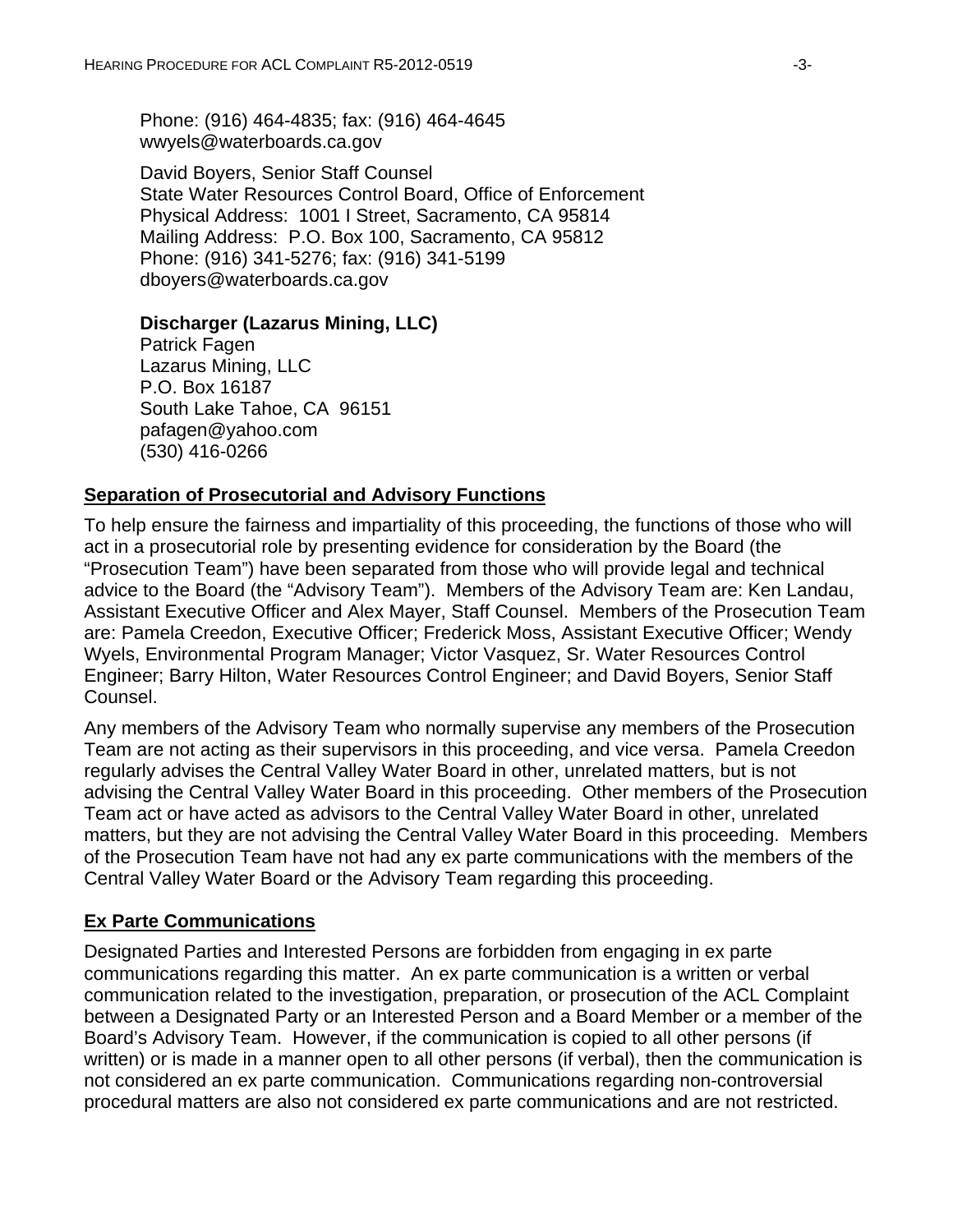Phone: (916) 464-4835; fax: (916) 464-4645 wwyels@waterboards.ca.gov

David Boyers, Senior Staff Counsel State Water Resources Control Board, Office of Enforcement Physical Address: 1001 I Street, Sacramento, CA 95814 Mailing Address: P.O. Box 100, Sacramento, CA 95812 Phone: (916) 341-5276; fax: (916) 341-5199 dboyers@waterboards.ca.gov

#### **Discharger (Lazarus Mining, LLC)**

Patrick Fagen Lazarus Mining, LLC P.O. Box 16187 South Lake Tahoe, CA 96151 pafagen@yahoo.com (530) 416-0266

#### **Separation of Prosecutorial and Advisory Functions**

To help ensure the fairness and impartiality of this proceeding, the functions of those who will act in a prosecutorial role by presenting evidence for consideration by the Board (the "Prosecution Team") have been separated from those who will provide legal and technical advice to the Board (the "Advisory Team"). Members of the Advisory Team are: Ken Landau, Assistant Executive Officer and Alex Mayer, Staff Counsel. Members of the Prosecution Team are: Pamela Creedon, Executive Officer; Frederick Moss, Assistant Executive Officer; Wendy Wyels, Environmental Program Manager; Victor Vasquez, Sr. Water Resources Control Engineer; Barry Hilton, Water Resources Control Engineer; and David Boyers, Senior Staff Counsel.

Any members of the Advisory Team who normally supervise any members of the Prosecution Team are not acting as their supervisors in this proceeding, and vice versa. Pamela Creedon regularly advises the Central Valley Water Board in other, unrelated matters, but is not advising the Central Valley Water Board in this proceeding. Other members of the Prosecution Team act or have acted as advisors to the Central Valley Water Board in other, unrelated matters, but they are not advising the Central Valley Water Board in this proceeding. Members of the Prosecution Team have not had any ex parte communications with the members of the Central Valley Water Board or the Advisory Team regarding this proceeding.

#### **Ex Parte Communications**

Designated Parties and Interested Persons are forbidden from engaging in ex parte communications regarding this matter. An ex parte communication is a written or verbal communication related to the investigation, preparation, or prosecution of the ACL Complaint between a Designated Party or an Interested Person and a Board Member or a member of the Board's Advisory Team. However, if the communication is copied to all other persons (if written) or is made in a manner open to all other persons (if verbal), then the communication is not considered an ex parte communication. Communications regarding non-controversial procedural matters are also not considered ex parte communications and are not restricted.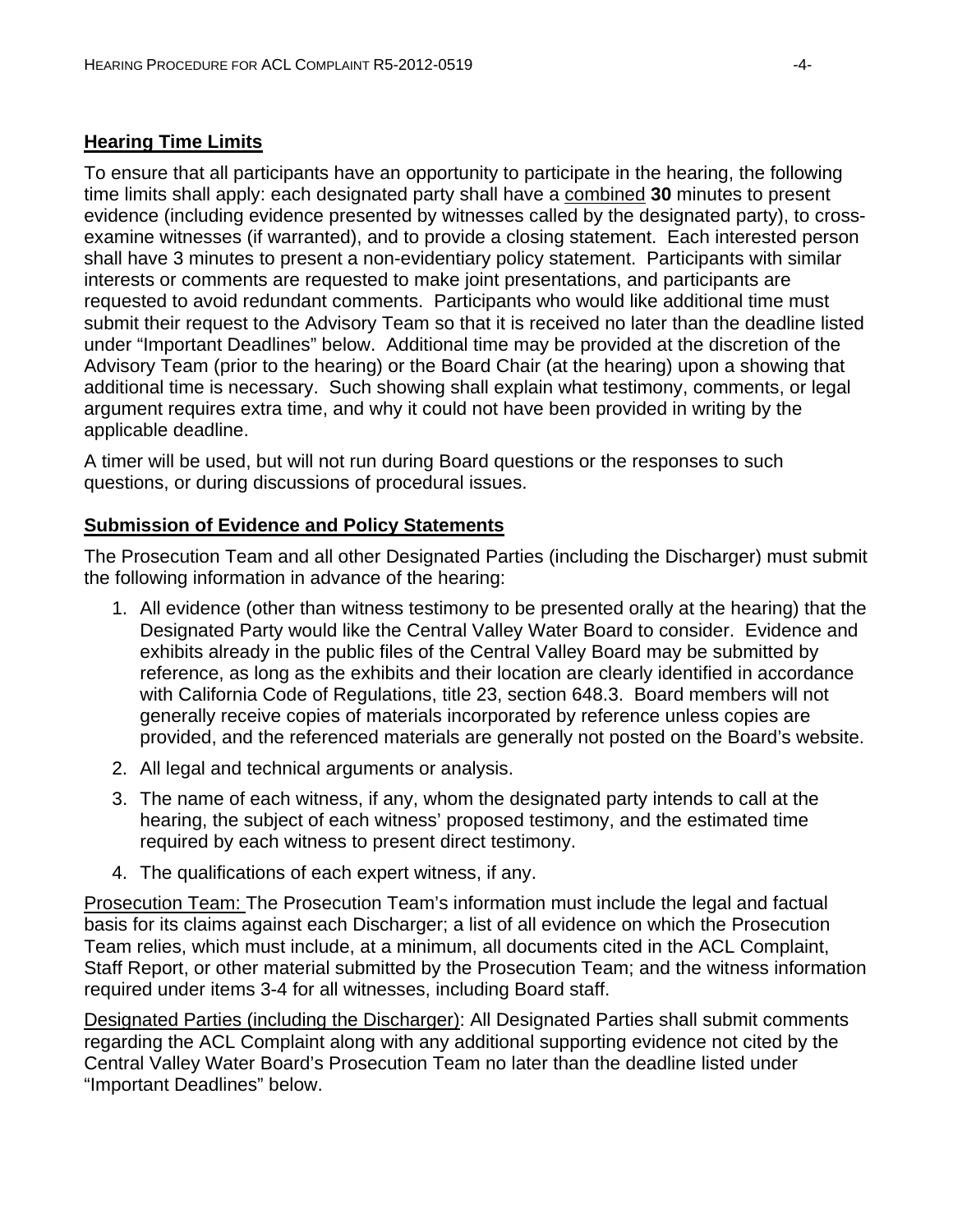## **Hearing Time Limits**

To ensure that all participants have an opportunity to participate in the hearing, the following time limits shall apply: each designated party shall have a combined **30** minutes to present evidence (including evidence presented by witnesses called by the designated party), to crossexamine witnesses (if warranted), and to provide a closing statement. Each interested person shall have 3 minutes to present a non-evidentiary policy statement. Participants with similar interests or comments are requested to make joint presentations, and participants are requested to avoid redundant comments. Participants who would like additional time must submit their request to the Advisory Team so that it is received no later than the deadline listed under "Important Deadlines" below. Additional time may be provided at the discretion of the Advisory Team (prior to the hearing) or the Board Chair (at the hearing) upon a showing that additional time is necessary. Such showing shall explain what testimony, comments, or legal argument requires extra time, and why it could not have been provided in writing by the applicable deadline.

A timer will be used, but will not run during Board questions or the responses to such questions, or during discussions of procedural issues.

## **Submission of Evidence and Policy Statements**

The Prosecution Team and all other Designated Parties (including the Discharger) must submit the following information in advance of the hearing:

- 1. All evidence (other than witness testimony to be presented orally at the hearing) that the Designated Party would like the Central Valley Water Board to consider. Evidence and exhibits already in the public files of the Central Valley Board may be submitted by reference, as long as the exhibits and their location are clearly identified in accordance with California Code of Regulations, title 23, section 648.3. Board members will not generally receive copies of materials incorporated by reference unless copies are provided, and the referenced materials are generally not posted on the Board's website.
- 2. All legal and technical arguments or analysis.
- 3. The name of each witness, if any, whom the designated party intends to call at the hearing, the subject of each witness' proposed testimony, and the estimated time required by each witness to present direct testimony.
- 4. The qualifications of each expert witness, if any.

Prosecution Team: The Prosecution Team's information must include the legal and factual basis for its claims against each Discharger; a list of all evidence on which the Prosecution Team relies, which must include, at a minimum, all documents cited in the ACL Complaint, Staff Report, or other material submitted by the Prosecution Team; and the witness information required under items 3-4 for all witnesses, including Board staff.

Designated Parties (including the Discharger): All Designated Parties shall submit comments regarding the ACL Complaint along with any additional supporting evidence not cited by the Central Valley Water Board's Prosecution Team no later than the deadline listed under "Important Deadlines" below.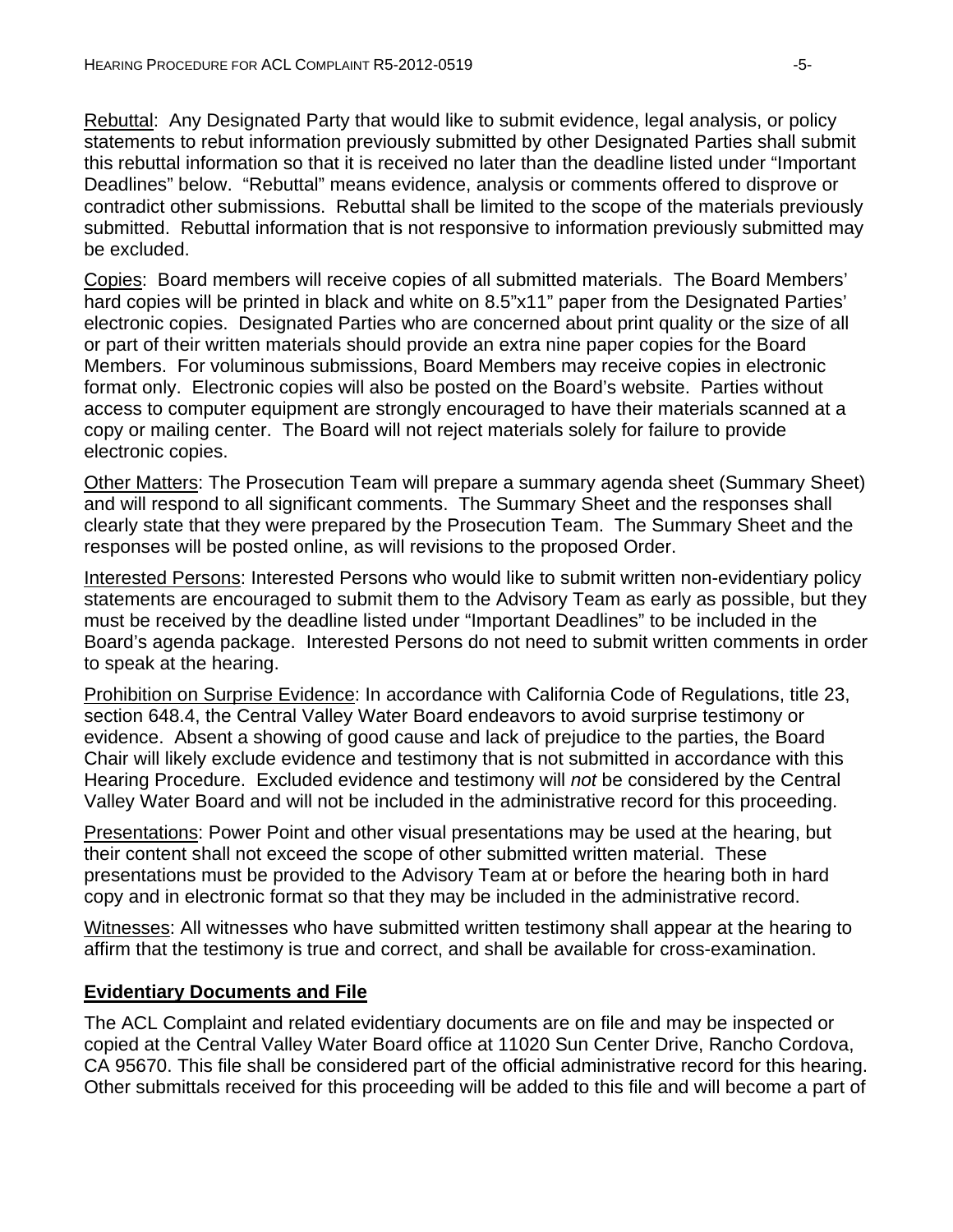Rebuttal: Any Designated Party that would like to submit evidence, legal analysis, or policy statements to rebut information previously submitted by other Designated Parties shall submit this rebuttal information so that it is received no later than the deadline listed under "Important Deadlines" below. "Rebuttal" means evidence, analysis or comments offered to disprove or contradict other submissions. Rebuttal shall be limited to the scope of the materials previously submitted. Rebuttal information that is not responsive to information previously submitted may be excluded.

Copies: Board members will receive copies of all submitted materials. The Board Members' hard copies will be printed in black and white on 8.5"x11" paper from the Designated Parties' electronic copies. Designated Parties who are concerned about print quality or the size of all or part of their written materials should provide an extra nine paper copies for the Board Members. For voluminous submissions, Board Members may receive copies in electronic format only. Electronic copies will also be posted on the Board's website. Parties without access to computer equipment are strongly encouraged to have their materials scanned at a copy or mailing center. The Board will not reject materials solely for failure to provide electronic copies.

Other Matters: The Prosecution Team will prepare a summary agenda sheet (Summary Sheet) and will respond to all significant comments. The Summary Sheet and the responses shall clearly state that they were prepared by the Prosecution Team. The Summary Sheet and the responses will be posted online, as will revisions to the proposed Order.

Interested Persons: Interested Persons who would like to submit written non-evidentiary policy statements are encouraged to submit them to the Advisory Team as early as possible, but they must be received by the deadline listed under "Important Deadlines" to be included in the Board's agenda package. Interested Persons do not need to submit written comments in order to speak at the hearing.

Prohibition on Surprise Evidence: In accordance with California Code of Regulations, title 23, section 648.4, the Central Valley Water Board endeavors to avoid surprise testimony or evidence. Absent a showing of good cause and lack of prejudice to the parties, the Board Chair will likely exclude evidence and testimony that is not submitted in accordance with this Hearing Procedure. Excluded evidence and testimony will *not* be considered by the Central Valley Water Board and will not be included in the administrative record for this proceeding.

Presentations: Power Point and other visual presentations may be used at the hearing, but their content shall not exceed the scope of other submitted written material. These presentations must be provided to the Advisory Team at or before the hearing both in hard copy and in electronic format so that they may be included in the administrative record.

Witnesses: All witnesses who have submitted written testimony shall appear at the hearing to affirm that the testimony is true and correct, and shall be available for cross-examination.

## **Evidentiary Documents and File**

The ACL Complaint and related evidentiary documents are on file and may be inspected or copied at the Central Valley Water Board office at 11020 Sun Center Drive, Rancho Cordova, CA 95670. This file shall be considered part of the official administrative record for this hearing. Other submittals received for this proceeding will be added to this file and will become a part of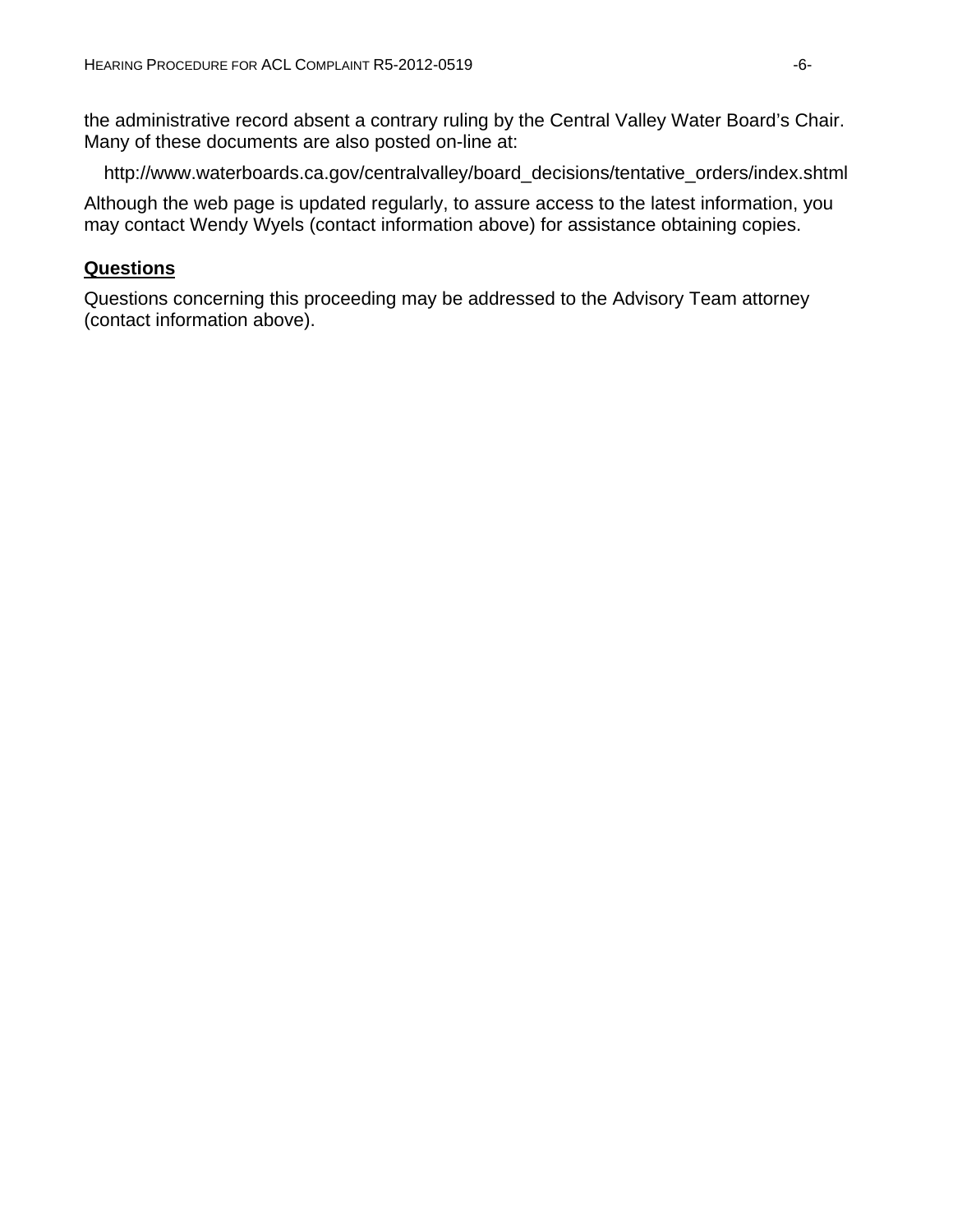the administrative record absent a contrary ruling by the Central Valley Water Board's Chair. Many of these documents are also posted on-line at:

http://www.waterboards.ca.gov/centralvalley/board\_decisions/tentative\_orders/index.shtml

Although the web page is updated regularly, to assure access to the latest information, you may contact Wendy Wyels (contact information above) for assistance obtaining copies.

#### **Questions**

Questions concerning this proceeding may be addressed to the Advisory Team attorney (contact information above).